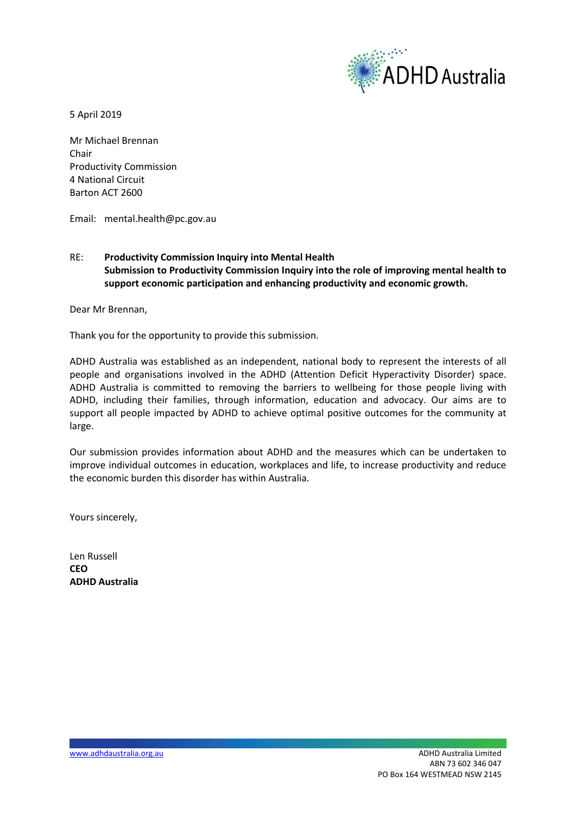

5 April 2019

Mr Michael Brennan Chair Productivity Commission 4 National Circuit Barton ACT 2600

Email: mental.health@pc.gov.au

## RE: **Productivity Commission Inquiry into Mental Health Submission to Productivity Commission Inquiry into the role of improving mental health to support economic participation and enhancing productivity and economic growth.**

Dear Mr Brennan,

Thank you for the opportunity to provide this submission.

ADHD Australia was established as an independent, national body to represent the interests of all people and organisations involved in the ADHD (Attention Deficit Hyperactivity Disorder) space. ADHD Australia is committed to removing the barriers to wellbeing for those people living with ADHD, including their families, through information, education and advocacy. Our aims are to support all people impacted by ADHD to achieve optimal positive outcomes for the community at large.

Our submission provides information about ADHD and the measures which can be undertaken to improve individual outcomes in education, workplaces and life, to increase productivity and reduce the economic burden this disorder has within Australia.

Yours sincerely,

Len Russell **CEO ADHD Australia**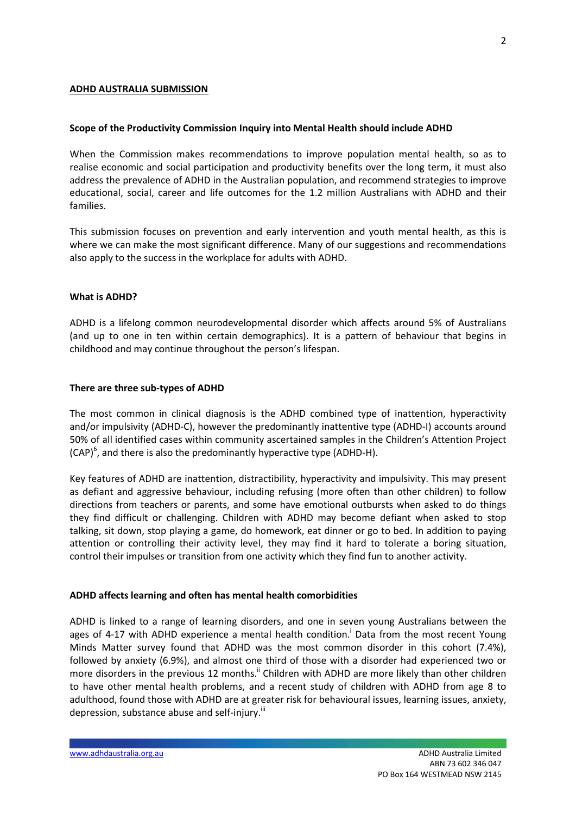### **ADHD AUSTRALIA SUBMISSION**

#### **Scope of the Productivity Commission Inquiry into Mental Health should include ADHD**

When the Commission makes recommendations to improve population mental health, so as to realise economic and social participation and productivity benefits over the long term, it must also address the prevalence of ADHD in the Australian population, and recommend strategies to improve educational, social, career and life outcomes for the 1.2 million Australians with ADHD and their families.

This submission focuses on prevention and early intervention and youth mental health, as this is where we can make the most significant difference. Many of our suggestions and recommendations also apply to the success in the workplace for adults with ADHD.

#### **What is ADHD?**

ADHD is a lifelong common neurodevelopmental disorder which affects around 5% of Australians (and up to one in ten within certain demographics). It is a pattern of behaviour that begins in childhood and may continue throughout the person's lifespan.

#### **There are three sub-types of ADHD**

The most common in clinical diagnosis is the ADHD combined type of inattention, hyperactivity and/or impulsivity (ADHD-C), however the predominantly inattentive type (ADHD-I) accounts around 50% of all identified cases within community ascertained samples in the Children's Attention Project  $(CAP)^6$ , and there is also the predominantly hyperactive type (ADHD-H).

Key features of ADHD are inattention, distractibility, hyperactivity and impulsivity. This may present as defiant and aggressive behaviour, including refusing (more often than other children) to follow directions from teachers or parents, and some have emotional outbursts when asked to do things they find difficult or challenging. Children with ADHD may become defiant when asked to stop talking, sit down, stop playing a game, do homework, eat dinner or go to bed. In addition to paying attention or controlling their activity level, they may find it hard to tolerate a boring situation, control their impulses or transition from one activity which they find fun to another activity.

### **ADHD affects learning and often has mental health comorbidities**

ADHD is linked to a range of learning disorders, and one in seven young Australians between the ages of 4-17 with ADHD experience a mental health condition. Data from the most recent Young Minds Matter survey found that ADHD was the most common disorder in this cohort (7.4%), followed by anxiety (6.9%), and almost one third of those with a disorder had experienced two or more disorders in the previous 12 months.<sup>"</sup> Children with ADHD are more likely than other children to have other mental health problems, and a recent study of children with ADHD from age 8 to adulthood, found those with ADHD are at greater risk for behavioural issues, learning issues, anxiety, depression, substance abuse and self-injury.<sup>III</sup>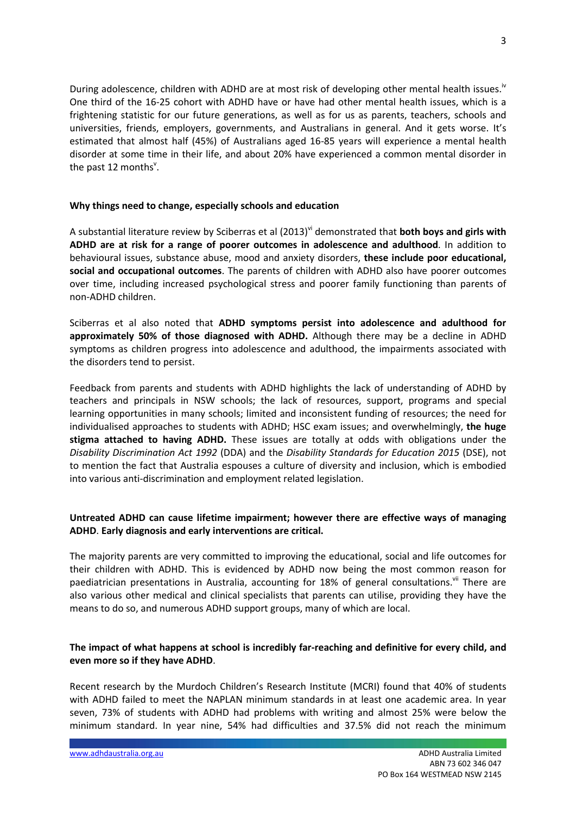During adolescence, children with ADHD are at most risk of developing other mental health issues.<sup>iv</sup> One third of the 16-25 cohort with ADHD have or have had other mental health issues, which is a frightening statistic for our future generations, as well as for us as parents, teachers, schools and universities, friends, employers, governments, and Australians in general. And it gets worse. It's estimated that almost half (45%) of Australians aged 16-85 years will experience a mental health disorder at some time in their life, and about 20% have experienced a common mental disorder in the past 12 months<sup>v</sup>.

### **Why things need to change, especially schools and education**

A substantial literature review by Sciberras et al (2013)vi demonstrated that **both boys and girls with ADHD are at risk for a range of poorer outcomes in adolescence and adulthood**. In addition to behavioural issues, substance abuse, mood and anxiety disorders, **these include poor educational, social and occupational outcomes**. The parents of children with ADHD also have poorer outcomes over time, including increased psychological stress and poorer family functioning than parents of non-ADHD children.

Sciberras et al also noted that **ADHD symptoms persist into adolescence and adulthood for approximately 50% of those diagnosed with ADHD.** Although there may be a decline in ADHD symptoms as children progress into adolescence and adulthood, the impairments associated with the disorders tend to persist.

Feedback from parents and students with ADHD highlights the lack of understanding of ADHD by teachers and principals in NSW schools; the lack of resources, support, programs and special learning opportunities in many schools; limited and inconsistent funding of resources; the need for individualised approaches to students with ADHD; HSC exam issues; and overwhelmingly, **the huge stigma attached to having ADHD.** These issues are totally at odds with obligations under the *Disability Discrimination Act 1992* (DDA) and the *Disability Standards for Education 2015* (DSE), not to mention the fact that Australia espouses a culture of diversity and inclusion, which is embodied into various anti-discrimination and employment related legislation.

# **Untreated ADHD can cause lifetime impairment; however there are effective ways of managing ADHD**. **Early diagnosis and early interventions are critical.**

The majority parents are very committed to improving the educational, social and life outcomes for their children with ADHD. This is evidenced by ADHD now being the most common reason for paediatrician presentations in Australia, accounting for 18% of general consultations. In There are also various other medical and clinical specialists that parents can utilise, providing they have the means to do so, and numerous ADHD support groups, many of which are local.

## **The impact of what happens at school is incredibly far-reaching and definitive for every child, and even more so if they have ADHD**.

Recent research by the Murdoch Children's Research Institute (MCRI) found that 40% of students with ADHD failed to meet the NAPLAN minimum standards in at least one academic area. In year seven, 73% of students with ADHD had problems with writing and almost 25% were below the minimum standard. In year nine, 54% had difficulties and 37.5% did not reach the minimum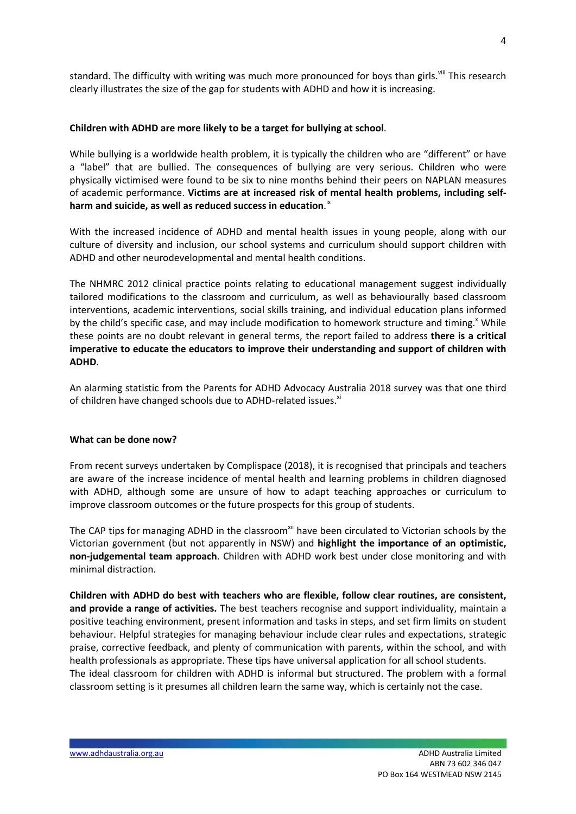standard. The difficulty with writing was much more pronounced for boys than girls.<sup>viii</sup> This research clearly illustrates the size of the gap for students with ADHD and how it is increasing.

### **Children with ADHD are more likely to be a target for bullying at school**.

While bullying is a worldwide health problem, it is typically the children who are "different" or have a "label" that are bullied. The consequences of bullying are very serious. Children who were physically victimised were found to be six to nine months behind their peers on NAPLAN measures of academic performance. **Victims are at increased risk of mental health problems, including selfharm and suicide, as well as reduced success in education**. ix

With the increased incidence of ADHD and mental health issues in young people, along with our culture of diversity and inclusion, our school systems and curriculum should support children with ADHD and other neurodevelopmental and mental health conditions.

The NHMRC 2012 clinical practice points relating to educational management suggest individually tailored modifications to the classroom and curriculum, as well as behaviourally based classroom interventions, academic interventions, social skills training, and individual education plans informed by the child's specific case, and may include modification to homework structure and timing.<sup>x</sup> While these points are no doubt relevant in general terms, the report failed to address **there is a critical imperative to educate the educators to improve their understanding and support of children with ADHD**.

An alarming statistic from the Parents for ADHD Advocacy Australia 2018 survey was that one third of children have changed schools due to ADHD-related issues.<sup>xi</sup>

#### **What can be done now?**

From recent surveys undertaken by Complispace (2018), it is recognised that principals and teachers are aware of the increase incidence of mental health and learning problems in children diagnosed with ADHD, although some are unsure of how to adapt teaching approaches or curriculum to improve classroom outcomes or the future prospects for this group of students.

The CAP tips for managing ADHD in the classroom<sup>xii</sup> have been circulated to Victorian schools by the Victorian government (but not apparently in NSW) and **highlight the importance of an optimistic, non-judgemental team approach**. Children with ADHD work best under close monitoring and with minimal distraction.

**Children with ADHD do best with teachers who are flexible, follow clear routines, are consistent, and provide a range of activities.** The best teachers recognise and support individuality, maintain a positive teaching environment, present information and tasks in steps, and set firm limits on student behaviour. Helpful strategies for managing behaviour include clear rules and expectations, strategic praise, corrective feedback, and plenty of communication with parents, within the school, and with health professionals as appropriate. These tips have universal application for all school students. The ideal classroom for children with ADHD is informal but structured. The problem with a formal classroom setting is it presumes all children learn the same way, which is certainly not the case.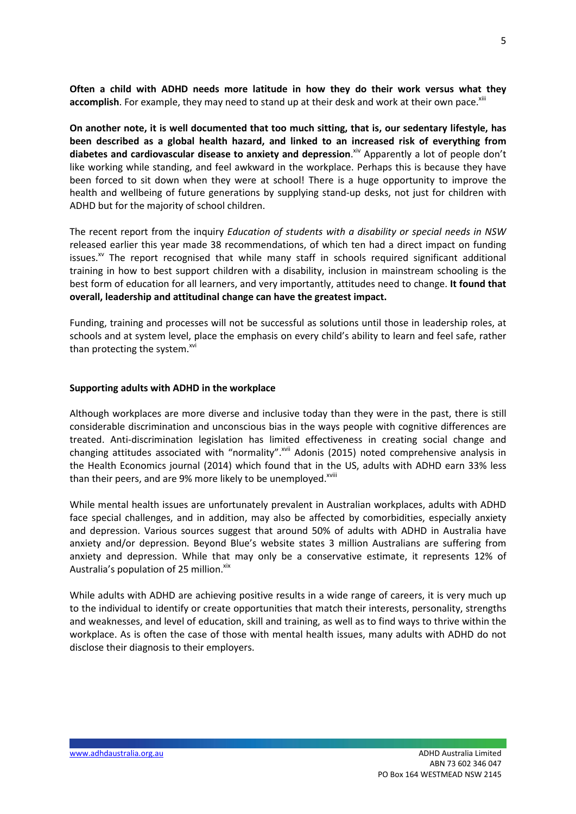**Often a child with ADHD needs more latitude in how they do their work versus what they** accomplish. For example, they may need to stand up at their desk and work at their own pace.<sup>xiii</sup>

**On another note, it is well documented that too much sitting, that is, our sedentary lifestyle, has been described as a global health hazard, and linked to an increased risk of everything from diabetes and cardiovascular disease to anxiety and depression**. xiv Apparently a lot of people don't like working while standing, and feel awkward in the workplace. Perhaps this is because they have been forced to sit down when they were at school! There is a huge opportunity to improve the health and wellbeing of future generations by supplying stand-up desks, not just for children with ADHD but for the majority of school children.

The recent report from the inquiry *Education of students with a disability or special needs in NSW* released earlier this year made 38 recommendations, of which ten had a direct impact on funding issues.<sup>xv</sup> The report recognised that while many staff in schools required significant additional training in how to best support children with a disability, inclusion in mainstream schooling is the best form of education for all learners, and very importantly, attitudes need to change. **It found that overall, leadership and attitudinal change can have the greatest impact.**

Funding, training and processes will not be successful as solutions until those in leadership roles, at schools and at system level, place the emphasis on every child's ability to learn and feel safe, rather than protecting the system.<sup>xvi</sup>

#### **Supporting adults with ADHD in the workplace**

Although workplaces are more diverse and inclusive today than they were in the past, there is still considerable discrimination and unconscious bias in the ways people with cognitive differences are treated. Anti-discrimination legislation has limited effectiveness in creating social change and changing attitudes associated with "normality".<sup>xvii</sup> Adonis (2015) noted comprehensive analysis in the Health Economics journal (2014) which found that in the US, adults with ADHD earn 33% less than their peers, and are 9% more likely to be unemployed.<sup>xviii</sup>

While mental health issues are unfortunately prevalent in Australian workplaces, adults with ADHD face special challenges, and in addition, may also be affected by comorbidities, especially anxiety and depression. Various sources suggest that around 50% of adults with ADHD in Australia have anxiety and/or depression. Beyond Blue's website states 3 million Australians are suffering from anxiety and depression. While that may only be a conservative estimate, it represents 12% of Australia's population of 25 million. Xix

While adults with ADHD are achieving positive results in a wide range of careers, it is very much up to the individual to identify or create opportunities that match their interests, personality, strengths and weaknesses, and level of education, skill and training, as well as to find ways to thrive within the workplace. As is often the case of those with mental health issues, many adults with ADHD do not disclose their diagnosis to their employers.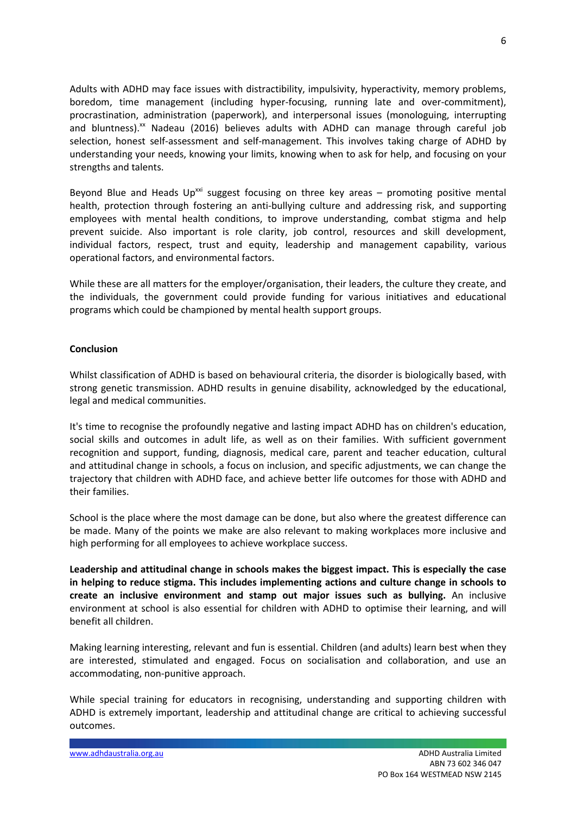Adults with ADHD may face issues with distractibility, impulsivity, hyperactivity, memory problems, boredom, time management (including hyper-focusing, running late and over-commitment), procrastination, administration (paperwork), and interpersonal issues (monologuing, interrupting and bluntness). $^{xx}$  Nadeau (2016) believes adults with ADHD can manage through careful job selection, honest self-assessment and self-management. This involves taking charge of ADHD by understanding your needs, knowing your limits, knowing when to ask for help, and focusing on your strengths and talents.

Beyond Blue and Heads Up<sup>xxi</sup> suggest focusing on three key areas – promoting positive mental health, protection through fostering an anti-bullying culture and addressing risk, and supporting employees with mental health conditions, to improve understanding, combat stigma and help prevent suicide. Also important is role clarity, job control, resources and skill development, individual factors, respect, trust and equity, leadership and management capability, various operational factors, and environmental factors.

While these are all matters for the employer/organisation, their leaders, the culture they create, and the individuals, the government could provide funding for various initiatives and educational programs which could be championed by mental health support groups.

## **Conclusion**

Whilst classification of ADHD is based on behavioural criteria, the disorder is biologically based, with strong genetic transmission. ADHD results in genuine disability, acknowledged by the educational, legal and medical communities.

It's time to recognise the profoundly negative and lasting impact ADHD has on children's education, social skills and outcomes in adult life, as well as on their families. With sufficient government recognition and support, funding, diagnosis, medical care, parent and teacher education, cultural and attitudinal change in schools, a focus on inclusion, and specific adjustments, we can change the trajectory that children with ADHD face, and achieve better life outcomes for those with ADHD and their families.

School is the place where the most damage can be done, but also where the greatest difference can be made. Many of the points we make are also relevant to making workplaces more inclusive and high performing for all employees to achieve workplace success.

**Leadership and attitudinal change in schools makes the biggest impact. This is especially the case in helping to reduce stigma. This includes implementing actions and culture change in schools to create an inclusive environment and stamp out major issues such as bullying.** An inclusive environment at school is also essential for children with ADHD to optimise their learning, and will benefit all children.

Making learning interesting, relevant and fun is essential. Children (and adults) learn best when they are interested, stimulated and engaged. Focus on socialisation and collaboration, and use an accommodating, non-punitive approach.

While special training for educators in recognising, understanding and supporting children with ADHD is extremely important, leadership and attitudinal change are critical to achieving successful outcomes.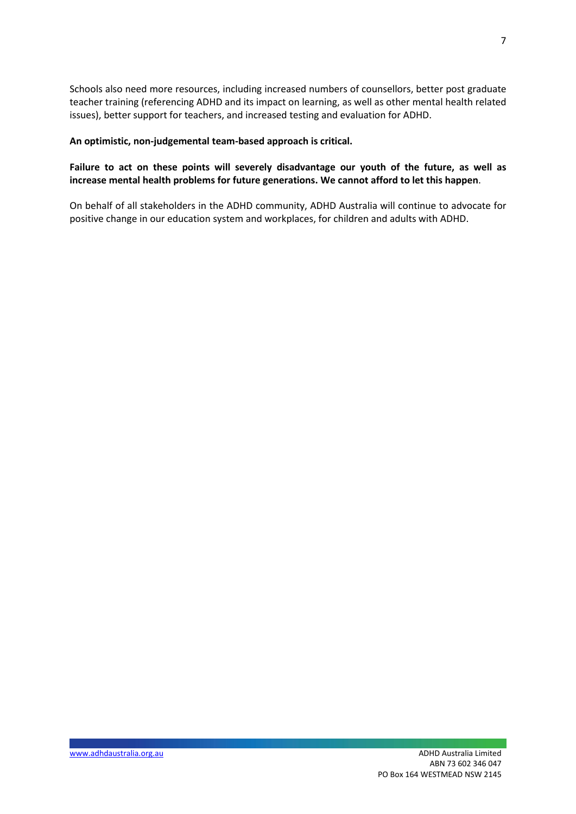Schools also need more resources, including increased numbers of counsellors, better post graduate teacher training (referencing ADHD and its impact on learning, as well as other mental health related issues), better support for teachers, and increased testing and evaluation for ADHD.

### **An optimistic, non-judgemental team-based approach is critical.**

# **Failure to act on these points will severely disadvantage our youth of the future, as well as increase mental health problems for future generations. We cannot afford to let this happen**.

On behalf of all stakeholders in the ADHD community, ADHD Australia will continue to advocate for positive change in our education system and workplaces, for children and adults with ADHD.